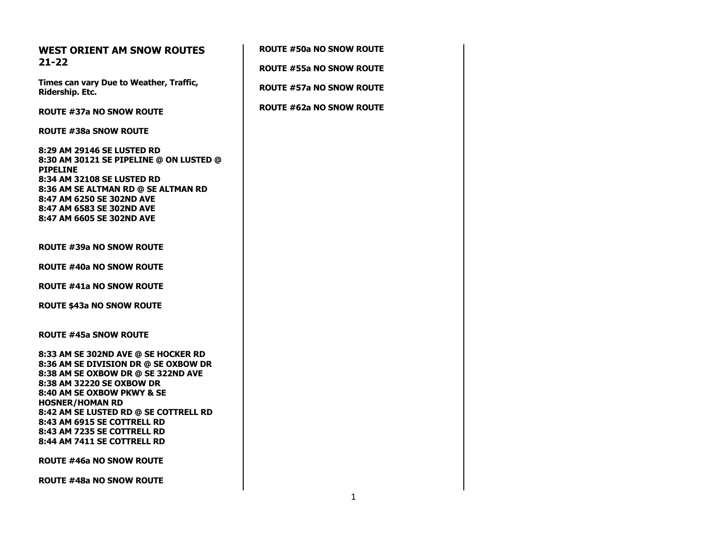## **WEST ORIENT AM SNOW ROUTES 21-22**

**Times can vary Due to Weather, Traffic, Ridership. Etc.**

**ROUTE #37a NO SNOW ROUTE**

**ROUTE #38a SNOW ROUTE**

**8:29 AM 29146 SE LUSTED RD 8:30 AM 30121 SE PIPELINE @ ON LUSTED @ PIPELINE 8:34 AM 32108 SE LUSTED RD 8:36 AM SE ALTMAN RD @ SE ALTMAN RD 8:47 AM 6250 SE 302ND AVE 8:47 AM 6583 SE 302ND AVE 8:47 AM 6605 SE 302ND AVE**

**ROUTE #39a NO SNOW ROUTE**

**ROUTE #40a NO SNOW ROUTE**

**ROUTE #41a NO SNOW ROUTE**

**ROUTE \$43a NO SNOW ROUTE**

**ROUTE #45a SNOW ROUTE**

**8:33 AM SE 302ND AVE @ SE HOCKER RD 8:36 AM SE DIVISION DR @ SE OXBOW DR 8:38 AM SE OXBOW DR @ SE 322ND AVE 8:38 AM 32220 SE OXBOW DR 8:40 AM SE OXBOW PKWY & SE HOSNER/HOMAN RD 8:42 AM SE LUSTED RD @ SE COTTRELL RD 8:43 AM 6915 SE COTTRELL RD 8:43 AM 7235 SE COTTRELL RD 8:44 AM 7411 SE COTTRELL RD**

**ROUTE #46a NO SNOW ROUTE**

**ROUTE #48a NO SNOW ROUTE**

| <b>ROUTE #50a NO SNOW ROUTE</b> |
|---------------------------------|
| <b>ROUTE #55a NO SNOW ROUTE</b> |
| <b>ROUTE #57a NO SNOW ROUTE</b> |
| <b>ROUTE #62a NO SNOW ROUTE</b> |
|                                 |
|                                 |
|                                 |
|                                 |
|                                 |
|                                 |
|                                 |
|                                 |
|                                 |
|                                 |
|                                 |
|                                 |
|                                 |
|                                 |
|                                 |
|                                 |
|                                 |
|                                 |